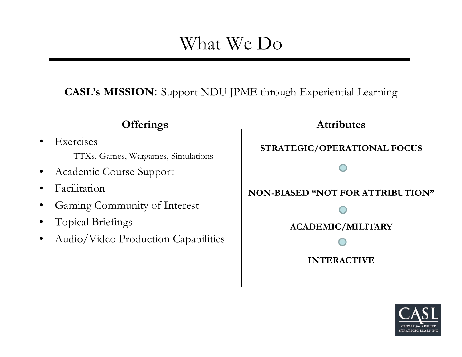# What We Do

**CASL's MISSION**: Support NDU JPME through Experiential Learning

### **Offerings**

- •**Exercises** 
	- TTXs, Games, Wargames, Simulations
- •Academic Course Support
- $\bullet$ Facilitation
- •Gaming Community of Interest
- •Topical Briefings
- •Audio/Video Production Capabilities

**Attributes STRATEGIC/OPERATIONAL FOCUS NON-BIASED "NOT FOR ATTRIBUTION"ACADEMIC/MILITARY INTERACTIVE**

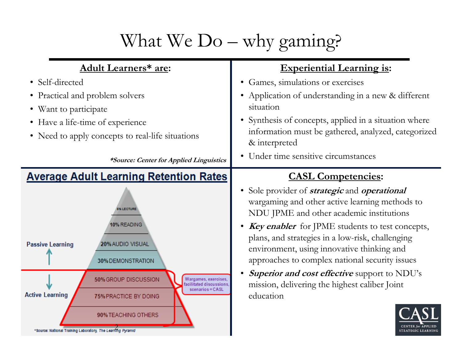# What We Do – why gaming?

| <b>Adult Learners* are:</b>                                                                                                                   | <b>Experiential Learning is:</b>                                                                                                                                                                                                                                                                                                |
|-----------------------------------------------------------------------------------------------------------------------------------------------|---------------------------------------------------------------------------------------------------------------------------------------------------------------------------------------------------------------------------------------------------------------------------------------------------------------------------------|
| • Self-directed                                                                                                                               | Games, simulations or exercises<br>$\bullet$                                                                                                                                                                                                                                                                                    |
| • Practical and problem solvers                                                                                                               | Application of understanding in a new & different                                                                                                                                                                                                                                                                               |
| • Want to participate                                                                                                                         | situation                                                                                                                                                                                                                                                                                                                       |
| • Have a life-time of experience                                                                                                              | • Synthesis of concepts, applied in a situation where                                                                                                                                                                                                                                                                           |
| • Need to apply concepts to real-life situations                                                                                              | information must be gathered, analyzed, categorized<br>& interpreted                                                                                                                                                                                                                                                            |
| *Source: Center for Applied Linguistics                                                                                                       | • Under time sensitive circumstances                                                                                                                                                                                                                                                                                            |
| <b>Average Adult Learning Retention Rates</b>                                                                                                 | <b>CASL Competencies:</b>                                                                                                                                                                                                                                                                                                       |
| <b>6% LECTURE</b><br>10% READING<br><b>Passive Learning</b><br>20% AUDIO VISUAL                                                               | Sole provider of <i>strategic</i> and <i>operational</i><br>wargaming and other active learning methods to<br>NDU JPME and other academic institutions<br><b>Key enabler</b> for JPME students to test concepts,<br>$\bullet$<br>plans, and strategies in a low-risk, challenging<br>environment, using innovative thinking and |
| 30% DEMONSTRATION                                                                                                                             | approaches to complex national security issues                                                                                                                                                                                                                                                                                  |
| 50% GROUP DISCUSSION<br>Wargames, exercises,<br>acilitated discussions<br>scenarios = CASL<br><b>Active Learning</b><br>75% PRACTICE BY DOING | <b>Superior and cost effective</b> support to NDU's<br>mission, delivering the highest caliber Joint<br>education                                                                                                                                                                                                               |
| 90% TEACHING OTHERS<br>*Source: National Training Laboratory, The Learning Pyramid                                                            | <b>STRATEGIC LEARNING</b>                                                                                                                                                                                                                                                                                                       |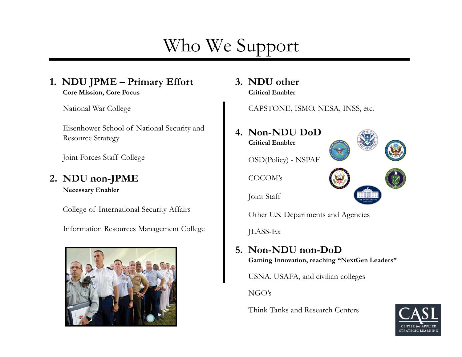# Who We Support

#### **1. NDU JPME – Primary Effort Core Mission, Core Focus**

National War College

Eisenhower School of National Security and Resource Strategy

Joint Forces Staff College

## **2. NDU non-JPME**

**Necessary Enabler**

College of International Security Affairs

Information Resources Management College



**3. NDU otherCritical Enabler**

CAPSTONE, ISMO, NESA, INSS, etc.



Other U.S. Departments and Agencies

JLASS-Ex

# **5. Non-NDU non-DoD**

**Gaming Innovation, reaching "NextGen Leaders"**

USNA, USAFA, and civilian colleges

NGO's

Think Tanks and Research Centers

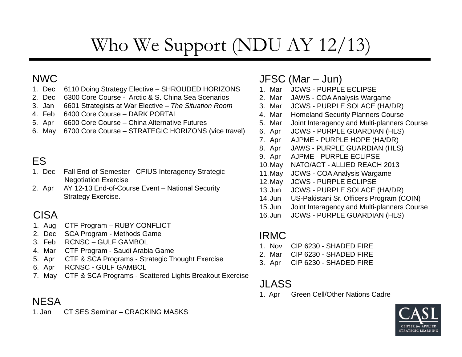# Who We Support (NDU AY 12/13)

### NWC

- 1. Dec 6110 Doing Strategy Elective SHROUDED HORIZONS
- 2. Dec 6300 Core Course Arctic & S. China Sea Scenarios
- 3. Jan 6601 Strategists at War Elective *The Situation Room*
- 4. Feb 6400 Core Course DARK PORTAL
- 5. Apr 6600 Core Course China Alternative Futures
- 6. May 6700 Core Course STRATEGIC HORIZONS (vice travel)

## ES

- 1. Dec Fall End-of-Semester CFIUS Interagency Strategic Negotiation Exercise
- 2. Apr AY 12-13 End-of-Course Event National Security Strategy Exercise.

### CISA

- 1. Aug CTF Program RUBY CONFLICT
- 2. Dec SCA Program Methods Game
- 3. Feb RCNSC GULF GAMBOL
- 4. Mar CTF Program Saudi Arabia Game
- 5. Apr CTF & SCA Programs Strategic Thought Exercise
- 6. Apr RCNSC GULF GAMBOL
- 7. May CTF & SCA Programs Scattered Lights Breakout Exercise

### **NESA**

1. Jan CT SES Seminar – CRACKING MASKS

### JFSC (Mar – Jun)

- 1. Mar JCWS PURPLE ECLIPSE
- 2. Mar JAWS COA Analysis Wargame
- 3. Mar JCWS PURPLE SOLACE (HA/DR)
- 4. Mar Homeland Security Planners Course
- 5. Mar Joint Interagency and Multi-planners Course
- 6. Apr JCWS PURPLE GUARDIAN (HLS)
- 7. Apr AJPME PURPLE HOPE (HA/DR)
- 8. Apr JAWS PURPLE GUARDIAN (HLS)
- 9. Apr AJPME PURPLE ECLIPSE
- 10.May NATO/ACT ALLIED REACH 2013
- 11.May JCWS COA Analysis Wargame
- 12.May JCWS PURPLE ECLIPSE
- 13.Jun JCWS PURPLE SOLACE (HA/DR)
- 14.Jun US-Pakistani Sr. Officers Program (COIN)
- 15.Jun Joint Interagency and Multi-planners Course
- 16.Jun JCWS PURPLE GUARDIAN (HLS)

#### IRMC

- 1. Nov CIP 6230 SHADED FIRE
- 2. Mar CIP 6230 SHADED FIRE
- 3. Apr CIP 6230 SHADED FIRE

### JLASS

1. Apr Green Cell/Other Nations Cadre